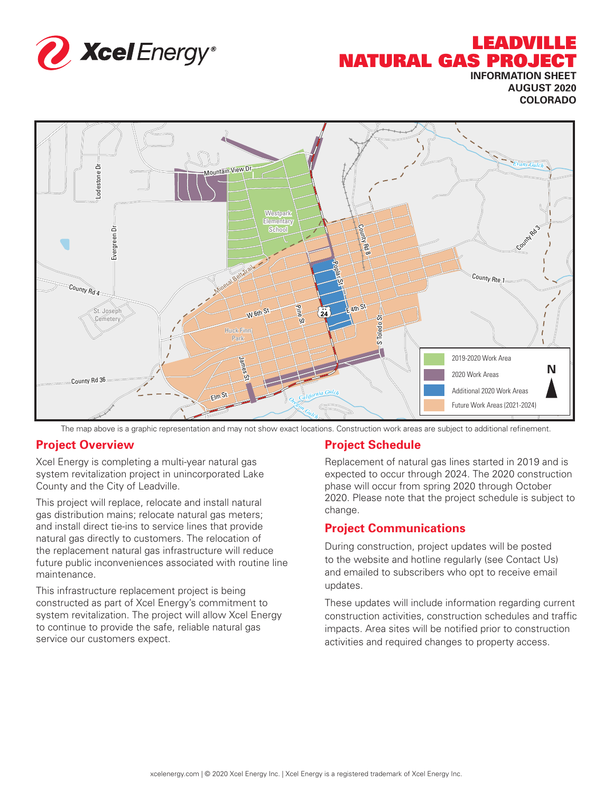

# LEADVILLE NATURAL GAS PROJECT

**INFORMATION SHEET AUGUST 2020 COLORADO**



The map above is a graphic representation and may not show exact locations. Construction work areas are subject to additional refinement.

#### **Project Overview**

Xcel Energy is completing a multi-year natural gas system revitalization project in unincorporated Lake County and the City of Leadville.

This project will replace, relocate and install natural gas distribution mains; relocate natural gas meters; and install direct tie-ins to service lines that provide natural gas directly to customers. The relocation of the replacement natural gas infrastructure will reduce future public inconveniences associated with routine line maintenance.

This infrastructure replacement project is being constructed as part of Xcel Energy's commitment to system revitalization. The project will allow Xcel Energy to continue to provide the safe, reliable natural gas service our customers expect.

#### **Project Schedule**

Replacement of natural gas lines started in 2019 and is expected to occur through 2024. The 2020 construction phase will occur from spring 2020 through October 2020. Please note that the project schedule is subject to change.

#### **Project Communications**

During construction, project updates will be posted to the website and hotline regularly (see Contact Us) and emailed to subscribers who opt to receive email updates.

These updates will include information regarding current construction activities, construction schedules and traffic impacts. Area sites will be notified prior to construction activities and required changes to property access.